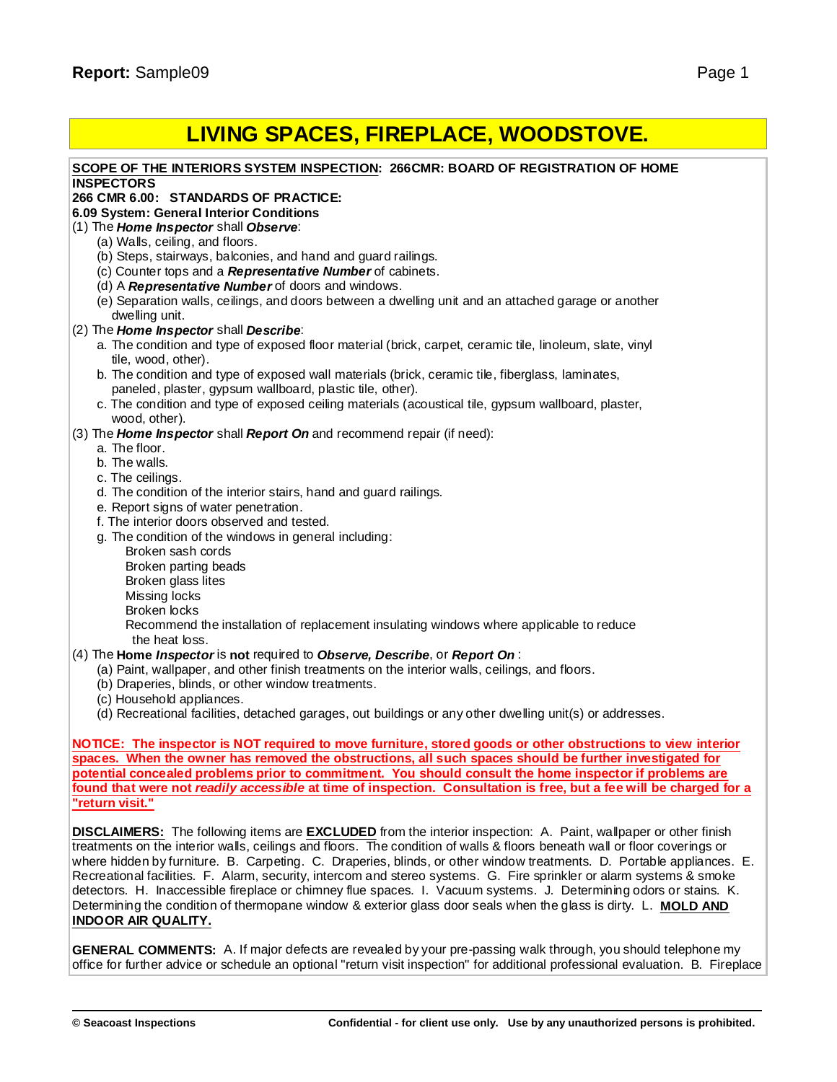# **LIVING SPACES, FIREPLACE, WOODSTOVE.**

#### **SCOPE OF THE INTERIORS SYSTEM INSPECTION: 266CMR: BOARD OF REGISTRATION OF HOME INSPECTORS**

#### **266 CMR 6.00: STANDARDS OF PRACTICE:**

#### **6.09 System: General Interior Conditions**

#### (1) The *Home Inspector* shall *Observe*:

- (a) Walls, ceiling, and floors.
- (b) Steps, stairways, balconies, and hand and guard railings.
- (c) Counter tops and a *Representative Number* of cabinets.
- (d) A *Representative Number* of doors and windows.
- (e) Separation walls, ceilings, and doors between a dwelling unit and an attached garage or another dwelling unit.

#### (2) The *Home Inspector* shall *Describe*:

- a. The condition and type of exposed floor material (brick, carpet, ceramic tile, linoleum, slate, vinyl tile, wood, other).
- b. The condition and type of exposed wall materials (brick, ceramic tile, fiberglass, laminates, paneled, plaster, gypsum wallboard, plastic tile, other).
- c. The condition and type of exposed ceiling materials (acoustical tile, gypsum wallboard, plaster, wood, other).
- (3) The *Home Inspector* shall *Report On* and recommend repair (if need):
	- a. The floor.
	- b. The walls.
	- c. The ceilings.
	- d. The condition of the interior stairs, hand and guard railings.
	- e. Report signs of water penetration.
	- f. The interior doors observed and tested.
	- g. The condition of the windows in general including:
	- Broken sash cords Broken parting beads
		- Broken glass lites
		- Missing locks
		- Broken locks

Recommend the installation of replacement insulating windows where applicable to reduce the heat loss.

#### (4) The **Home** *Inspector* is **not** required to *Observe, Describe*, or *Report On* :

- (a) Paint, wallpaper, and other finish treatments on the interior walls, ceilings, and floors.
- (b) Draperies, blinds, or other window treatments.
- (c) Household appliances.
- (d) Recreational facilities, detached garages, out buildings or any other dwelling unit(s) or addresses.

NOTICE: The inspector is NOT required to move furniture, stored goods or other obstructions to view interior **spaces. When the owner has removed the obstructions, all such spaces should be further investigated for potential concealed problems prior to commitment. You should consult the home inspector if problems are** found that were not readily accessible at time of inspection. Consultation is free, but a fee will be charged for a **"return visit."**

**DISCLAIMERS:** The following items are **EXCLUDED** from the interior inspection: A. Paint, wallpaper or other finish treatments on the interior walls, ceilings and floors. The condition of walls & floors beneath wall or floor coverings or where hidden by furniture. B. Carpeting. C. Draperies, blinds, or other window treatments. D. Portable appliances. E. Recreational facilities. F. Alarm, security, intercom and stereo systems. G. Fire sprinkler or alarm systems & smoke detectors. H. Inaccessible fireplace or chimney flue spaces. I. Vacuum systems. J. Determining odors or stains. K. Determining the condition of thermopane window & exterior glass door seals when the glass is dirty. L. **MOLD AND INDOOR AIR QUALITY.**

**GENERAL COMMENTS:** A. If major defects are revealed by your pre-passing walk through, you should telephone my office for further advice or schedule an optional "return visit inspection" for additional professional evaluation. B. Fireplace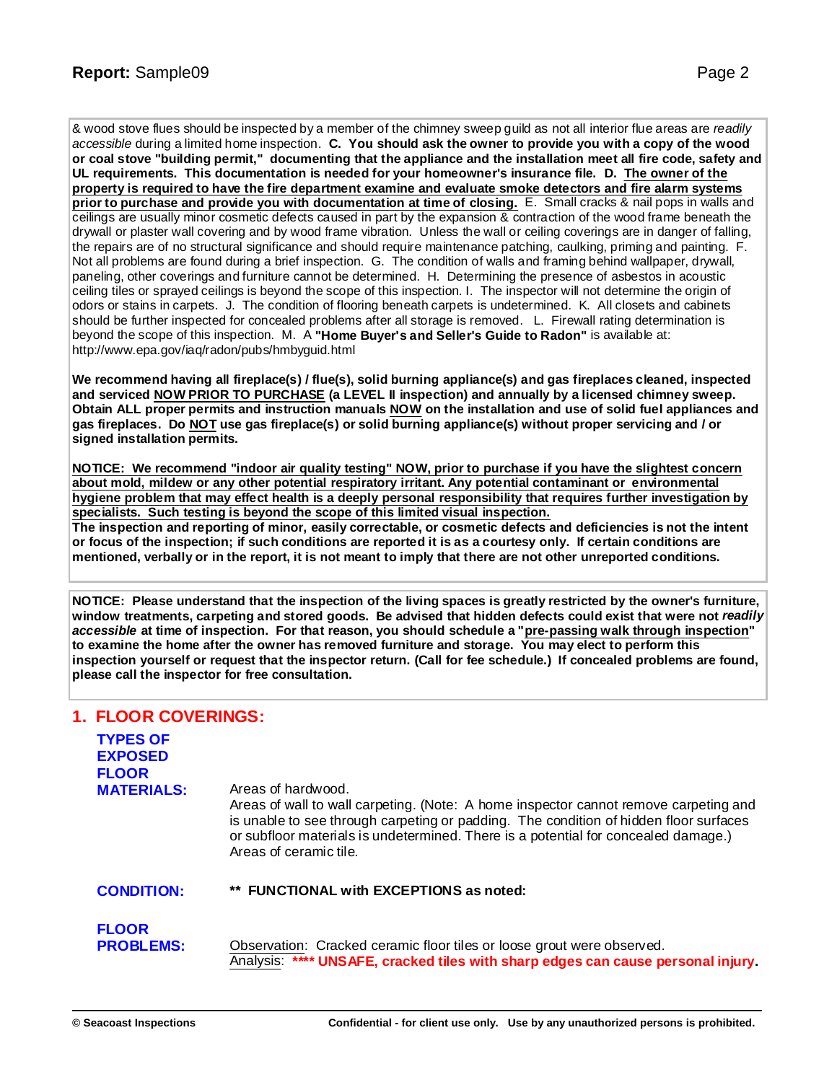& wood stove flues should be inspected by a member of the chimney sweep guild as not all interior flue areas are *readily accessible* during a limited home inspection. **C. You should ask the owner to provide you with a copy of the wood** or coal stove "building permit," documenting that the appliance and the installation meet all fire code, safety and **UL requirements. This documentation is needed for your homeowner's insurance file. D. The owner of the** property is required to have the fire department examine and evaluate smoke detectors and fire alarm systems **prior to purchase and provide you with documentation at time of closing.** E. Small cracks & nail pops in walls and ceilings are usually minor cosmetic defects caused in part by the expansion & contraction of the wood frame beneath the drywall or plaster wall covering and by wood frame vibration. Unless the wall or ceiling coverings are in danger of falling, the repairs are of no structural significance and should require maintenance patching, caulking, priming and painting. F. Not all problems are found during a brief inspection. G. The condition of walls and framing behind wallpaper, drywall, paneling, other coverings and furniture cannot be determined. H. Determining the presence of asbestos in acoustic ceiling tiles or sprayed ceilings is beyond the scope of this inspection. I. The inspector will not determine the origin of odors or stains in carpets. J. The condition of flooring beneath carpets is undetermined. K. All closets and cabinets should be further inspected for concealed problems after all storage is removed. L. Firewall rating determination is beyond the scope of this inspection. M. A **"Home Buyer's and Seller's Guide to Radon"** is available at: [http://w](http://www.epa.gov/iaq/radon/pubs/hmbyguid.html)[ww.epa.gov/iaq/radon/pubs/hmbyguid.html](www.epa.gov/iaq/radon/pubs/hmbyguid.html)

**We recommend having all fireplace(s) / flue(s), solid burning appliance(s) and gas fireplaces cleaned, inspected and serviced NOW PRIOR TO PURCHASE (a LEVEL II inspection) and annually by a licensed chimney sweep.** Obtain ALL proper permits and instruction manuals NOW on the installation and use of solid fuel appliances and gas fireplaces. Do NOT use gas fireplace(s) or solid burning appliance(s) without proper servicing and / or **signed installation permits.**

NOTICE: We recommend "indoor air quality testing" NOW, prior to purchase if you have the slightest concern **about mold, mildew or any other potential respiratory irritant. Any potential contaminant or environmental** hygiene problem that may effect health is a deeply personal responsibility that requires further investigation by **specialists. Such testing is beyond the scope of this limited visual inspection.**

The inspection and reporting of minor, easily correctable, or cosmetic defects and deficiencies is not the intent or focus of the inspection; if such conditions are reported it is as a courtesy only. If certain conditions are mentioned, verbally or in the report, it is not meant to imply that there are not other unreported conditions.

NOTICE: Please understand that the inspection of the living spaces is greatly restricted by the owner's furniture, window treatments, carpeting and stored goods. Be advised that hidden defects could exist that were not readily *accessible* **at time of inspection. For that reason, you should schedule a "pre-passing walk through inspection"** to examine the home after the owner has removed furniture and storage. You may elect to perform this inspection yourself or request that the inspector return. (Call for fee schedule.) If concealed problems are found, **please call the inspector for free consultation.**

### **1. FLOOR COVERINGS:**

| <b>TYPES OF</b><br><b>EXPOSED</b><br><b>FLOOR</b><br><b>MATERIALS:</b> | Areas of hardwood.<br>Areas of wall to wall carpeting. (Note: A home inspector cannot remove carpeting and<br>is unable to see through carpeting or padding. The condition of hidden floor surfaces<br>or subfloor materials is undetermined. There is a potential for concealed damage.)<br>Areas of ceramic tile. |
|------------------------------------------------------------------------|---------------------------------------------------------------------------------------------------------------------------------------------------------------------------------------------------------------------------------------------------------------------------------------------------------------------|
| <b>CONDITION:</b>                                                      | <b>FUNCTIONAL with EXCEPTIONS as noted:</b>                                                                                                                                                                                                                                                                         |
| <b>FLOOR</b><br><b>PROBLEMS:</b>                                       | Observation: Cracked ceramic floor tiles or loose grout were observed.<br>Analysis: **** UNSAFE, cracked tiles with sharp edges can cause personal injury.                                                                                                                                                          |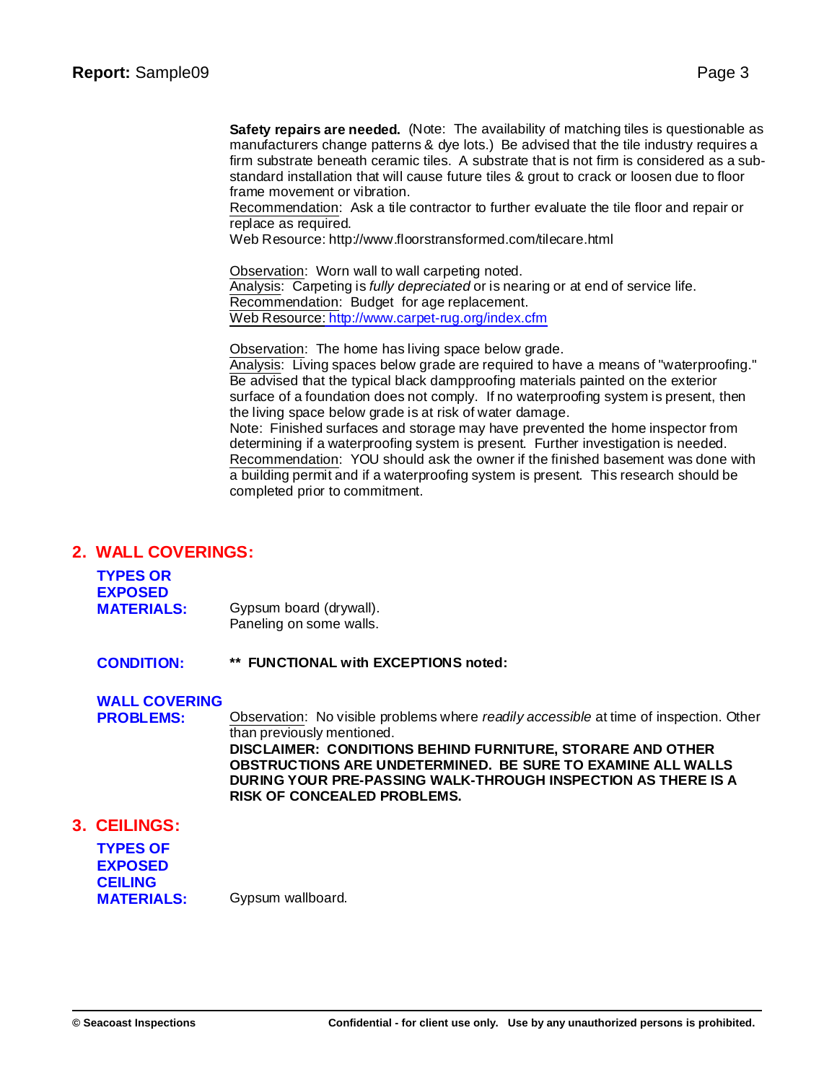**Safety repairs are needed.** (Note: The availability of matching tiles is questionable as manufacturers change patterns & dye lots.) Be advised that the tile industry requires a firm substrate beneath ceramic tiles. A substrate that is not firm is considered as a substandard installation that will cause future tiles & grout to crack or loosen due to floor frame movement or vibration.

Recommendation: Ask a tile contractor to further evaluate the tile floor and repair or replace as required.

Web Resource: [http://w](http://www.floorstransformed.com/tilecare.html)[ww.floorstransformed.com/tilecare.html](www.floorstransformed.com/tilecare.html)

Observation: Worn wall to wall carpeting noted. Analysis: Carpeting is *fully depreciated* or is nearing or at end of service life. Recommendation: Budget for age replacement. Web Resource: [http://w](http://www.carpet-rug.org/index.cfm)[ww.carpet-rug.org/index.cfm](www.carpet-rug.org/index.cfm)

Observation: The home has living space below grade. Analysis: Living spaces below grade are required to have a means of "waterproofing." Be advised that the typical black dampproofing materials painted on the exterior surface of a foundation does not comply. If no waterproofing system is present, then the living space below grade is at risk of water damage.

Note: Finished surfaces and storage may have prevented the home inspector from determining if a waterproofing system is present. Further investigation is needed. Recommendation: YOU should ask the owner if the finished basement was done with a building permit and if a waterproofing system is present. This research should be completed prior to commitment.

#### **2. WALL COVERINGS:**

| <b>TYPES OR</b>   |                         |
|-------------------|-------------------------|
| <b>EXPOSED</b>    |                         |
| <b>MATERIALS:</b> | Gypsum board (drywall). |
|                   | Paneling on some walls. |

**CONDITION: \*\* FUNCTIONAL with EXCEPTIONS noted:**

### **WALL COVERING**

**PROBLEMS:** Observation: No visible problems where *readily accessible* at time of inspection. Other than previously mentioned. **DISCLAIMER: CONDITIONS BEHIND FURNITURE, STORARE AND OTHER OBSTRUCTIONS ARE UNDETERMINED. BE SURE TO EXAMINE ALL WALLS DURING YOUR PRE-PASSING WALK-THROUGH INSPECTION AS THERE IS A RISK OF CONCEALED PROBLEMS.**

### **3. CEILINGS:**

**TYPES OF EXPOSED CEILING MATERIALS:** Gypsum wallboard.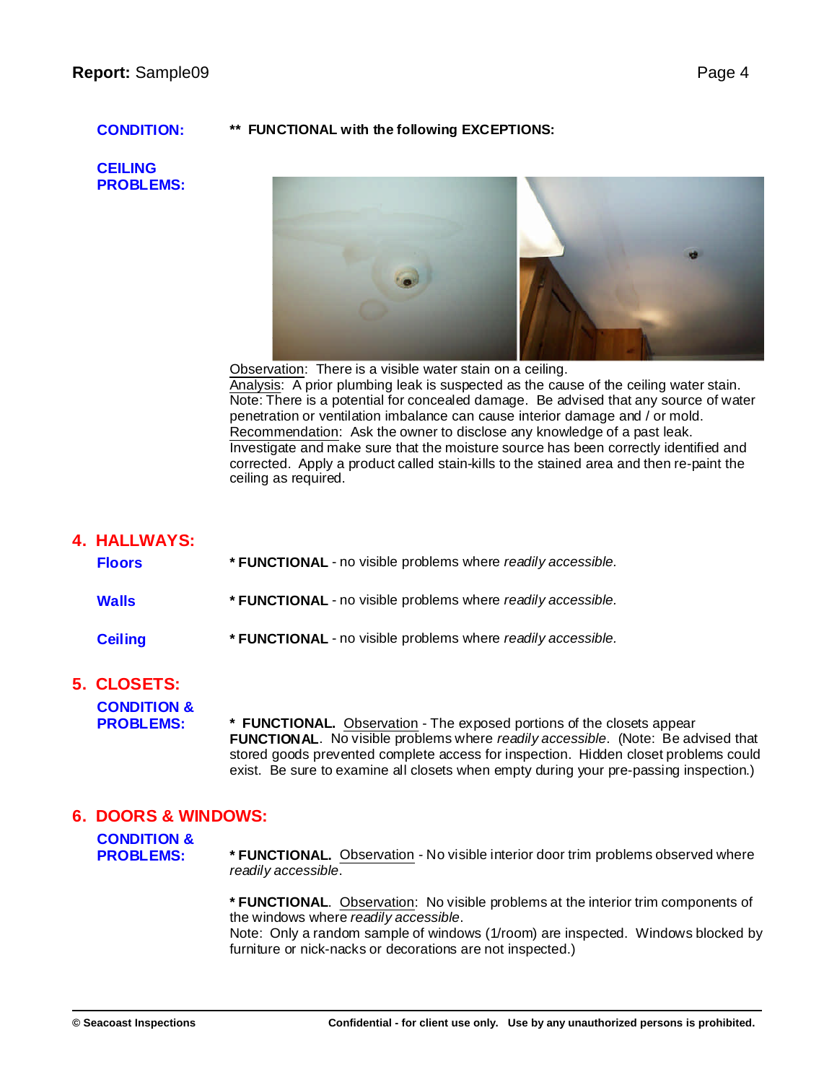### **CONDITION: \*\* FUNCTIONAL with the following EXCEPTIONS:**

### **CEILING PROBLEMS:**



Observation: There is a visible water stain on a ceiling.  $\overline{\mathsf{Analysis:}}\;$  A prior plumbing leak is suspected as the cause of the ceiling water stain. Note: There is a potential for concealed damage. Be advised that any source of water penetration or ventilation imbalance can cause interior damage and / or mold. Recommendation: Ask the owner to disclose any knowledge of a past leak. Investigate and make sure that the moisture source has been correctly identified and corrected. Apply a product called stain-kills to the stained area and then re-paint the ceiling as required.

### **4. HALLWAYS:**

| <b>Floors</b>  | * <b>FUNCTIONAL</b> - no visible problems where readily accessible. |
|----------------|---------------------------------------------------------------------|
| <b>Walls</b>   | * <b>FUNCTIONAL</b> - no visible problems where readily accessible. |
| <b>Ceiling</b> | * <b>FUNCTIONAL</b> - no visible problems where readily accessible. |

# **5. CLOSETS:**

**CONDITION &** \* **FUNCTIONAL.** Observation - The exposed portions of the closets appear **FUNCTIONAL**. No visible problems where *readily accessible*. (Note: Be advised that stored goods prevented complete access for inspection. Hidden closet problems could exist. Be sure to examine all closets when empty during your pre-passing inspection.)

### **6. DOORS & WINDOWS:**

| <b>CONDITION &amp;</b> |                     |                                                                                          |
|------------------------|---------------------|------------------------------------------------------------------------------------------|
| <b>PROBLEMS:</b>       |                     | <b>* FUNCTIONAL.</b> Observation - No visible interior door trim problems observed where |
|                        | readily accessible. |                                                                                          |

**\* FUNCTIONAL**. Observation: No visible problems at the interior trim components of the windows where *readily accessible*.

Note: Only a random sample of windows (1/room) are inspected. Windows blocked by furniture or nick-nacks or decorations are not inspected.)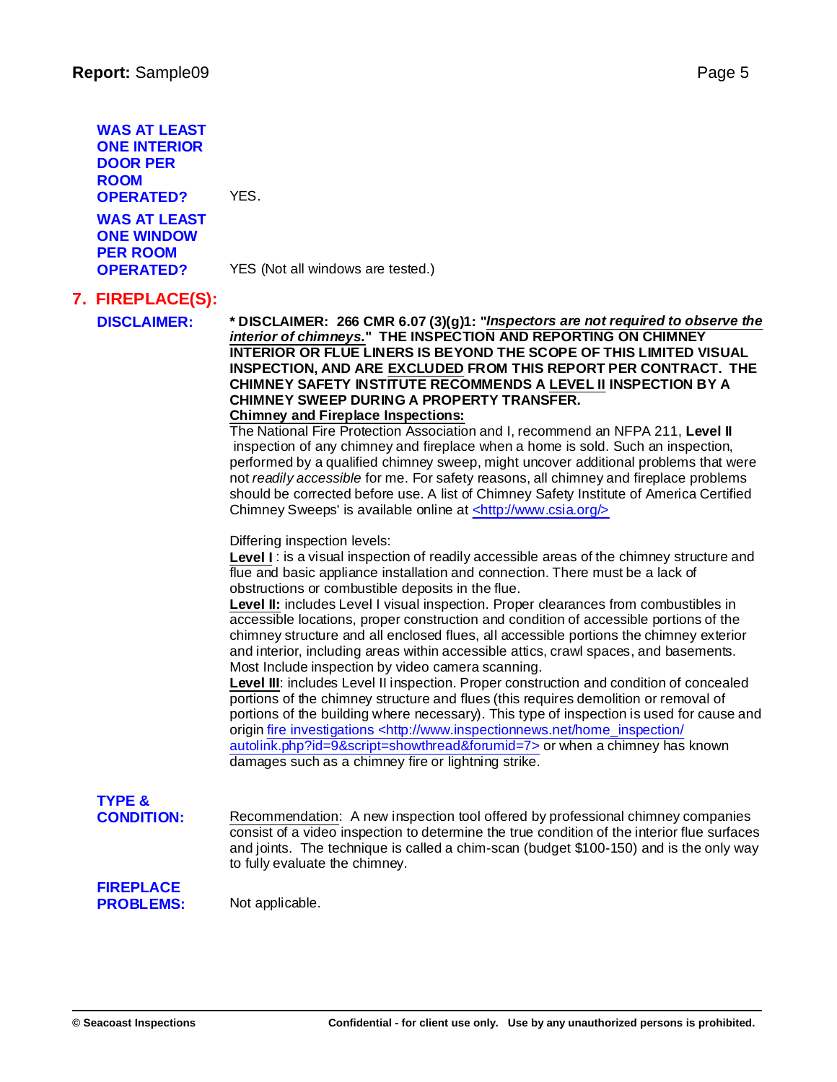**WAS AT LEAST ONE INTERIOR DOOR PER ROOM OPERATED?** YES.

**WAS AT LEAST ONE WINDOW PER ROOM**

YES (Not all windows are tested.)

# **7. FIREPLACE(S):**

**DISCLAIMER: \* DISCLAIMER: 266 CMR 6.07 (3)(g)1: "***Inspectors are not required to observe the interior of chimneys.***" THE INSPECTION AND REPORTING ON CHIMNEY INTERIOR OR FLUE LINERS IS BEYOND THE SCOPE OF THIS LIMITED VISUAL INSPECTION, AND ARE EXCLUDED FROM THIS REPORT PER CONTRACT. THE CHIMNEY SAFETY INSTITUTE RECOMMENDS A LEVEL II INSPECTION BY A CHIMNEY SWEEP DURING A PROPERTY TRANSFER. Chimney and Fireplace Inspections:**

> The National Fire Protection Association and I, recommend an NFPA 211, **Level II** inspection of any chimney and fireplace when a home is sold. Such an inspection, performed by a qualified chimney sweep, might uncover additional problems that were not *readily accessible* for me. For safety reasons, all chimney and fireplace problems should be corrected before use. A list of Chimney Safety Institute of America Certified Chimney Sweeps' is available online at <[http://w](http://www.csia.org/>)[ww.csia.org/>](www.csia.org/>)

Differing inspection levels:

**Level I** : is a visual inspection of readily accessible areas of the chimney structure and flue and basic appliance installation and connection. There must be a lack of obstructions or combustible deposits in the flue.

**Level II:** includes Level I visual inspection. Proper clearances from combustibles in accessible locations, proper construction and condition of accessible portions of the chimney structure and all enclosed flues, all accessible portions the chimney exterior and interior, including areas within accessible attics, crawl spaces, and basements. Most Include inspection by video camera scanning.

**Level III**: includes Level II inspection. Proper construction and condition of concealed portions of the chimney structure and flues (this requires demolition or removal of portions of the building where necessary). This type of inspection is used for cause and origin fire investigations <[http://ww](http://www.inspectionnews.net/home_inspection/)[w.inspectionnews.net/home\\_inspection/](www.inspectionnews.net/home_inspection/) autolink.php?id=9&script=showthread&forumid=7> or when a chimney has known damages such as a chimney fire or lightning strike.

**TYPE &**

**CONDITION:** Recommendation: A new inspection tool offered by professional chimney companies consist of a video inspection to determine the true condition of the interior flue surfaces and joints. The technique is called a chim-scan (budget \$100-150) and is the only way to fully evaluate the chimney.

**FIREPLACE PROBLEMS:** Not applicable.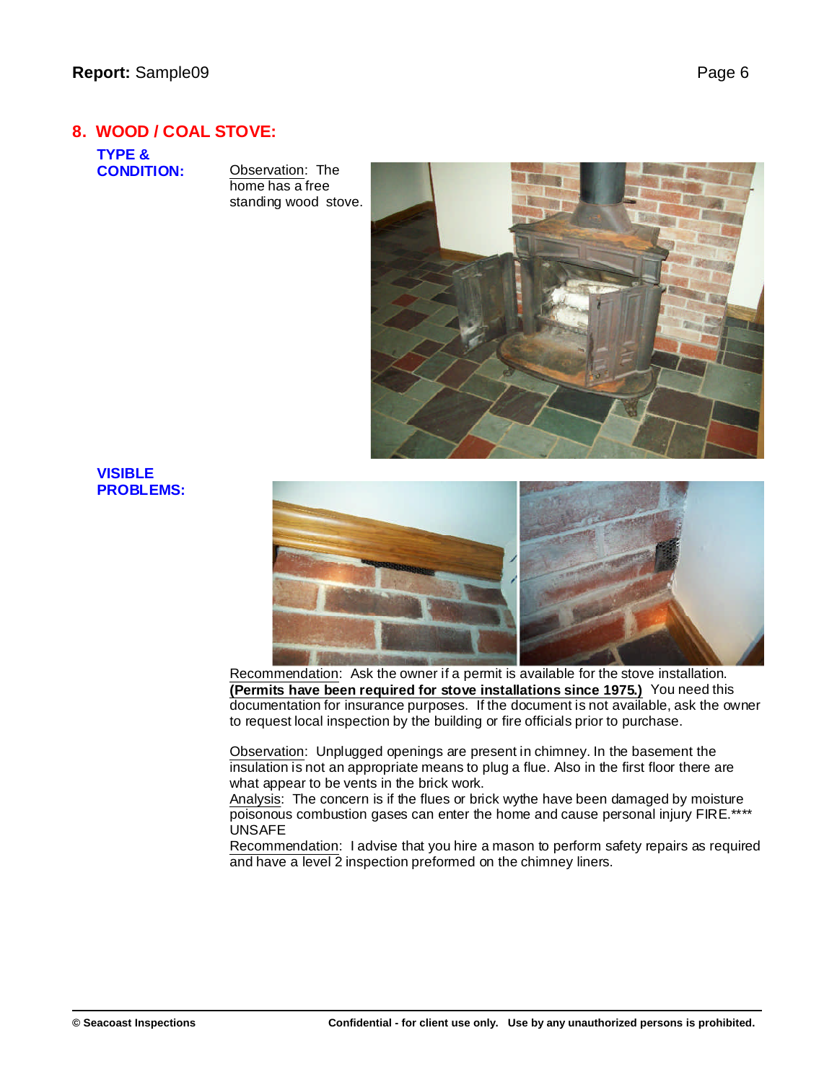# **8. WOOD / COAL STOVE:**

**TYPE &**

**CO**servation: The home has a free standing wood stove.



### **VISIBLE PROBLEMS:**



Recommendation: Ask the owner if a permit is available for the stove installation. **(Permits have been required for stove installations since 1975.)** You need this documentation for insurance purposes. If the document is not available, ask the owner to request local inspection by the building or fire officials prior to purchase.

Observation: Unplugged openings are present in chimney. In the basement the insulation is not an appropriate means to plug a flue. Also in the first floor there are what appear to be vents in the brick work.

Analysis: The concern is if the flues or brick wythe have been damaged by moisture poisonous combustion gases can enter the home and cause personal injury FIRE.\*\*\*\* UNSAFE

Recommendation: I advise that you hire a mason to perform safety repairs as required and have a level 2 inspection preformed on the chimney liners.